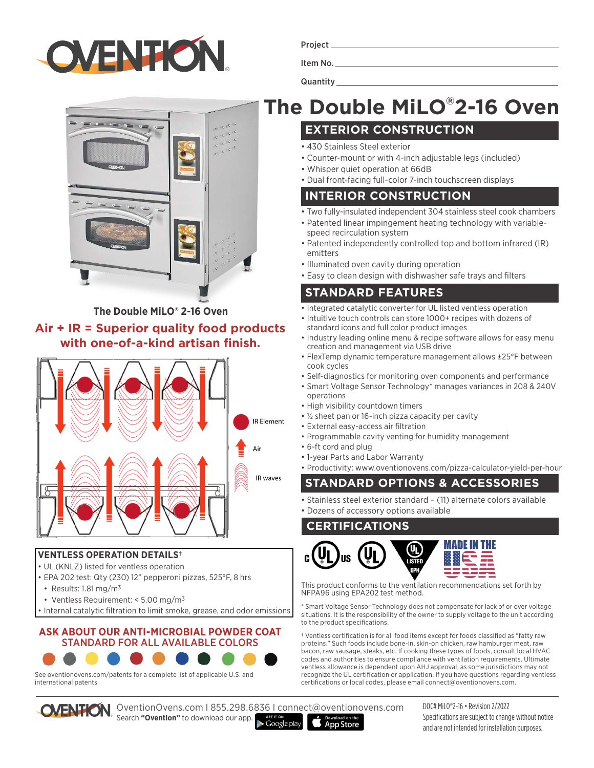

| ٠ |
|---|
|---|

Item No.

**Quantity** 



**The Double MiLO® 2-16 Oven**

### **Air + IR = Superior quality food products with one-of-a-kind artisan finish.**



#### **VENTLESS OPERATION DETAILS†**

- UL (KNLZ) listed for ventless operation
- EPA 202 test: Qty (230) 12" pepperoni pizzas, 525°F, 8 hrs
- Results: 1.81 mg/m3
- Ventless Requirement: < 5.00 mg/m3
- Internal catalytic filtration to limit smoke, grease, and odor emissions

#### **ASK ABOUT OUR ANTI-MICROBIAL POWDER COAT**  STANDARD FOR ALL AVAILABLE COLORS

#### See oventionovens.com/patents for a complete list of applicable U.S. and international patents

# **The Double MiLO® 2-16 Oven**

## **EXTERIOR CONSTRUCTION**

- 430 Stainless Steel exterior
- Counter-mount or with 4-inch adjustable legs (included)
- Whisper quiet operation at 66dB
- Dual front-facing full-color 7-inch touchscreen displays

#### **INTERIOR CONSTRUCTION**

- Two fully-insulated independent 304 stainless steel cook chambers
- Patented linear impingement heating technology with variablespeed recirculation system
- Patented independently controlled top and bottom infrared (IR) emitters
- Illuminated oven cavity during operation
- Easy to clean design with dishwasher safe trays and filters

## **STANDARD FEATURES**

- Integrated catalytic converter for UL listed ventless operation
- Intuitive touch controls can store 1000+ recipes with dozens of standard icons and full color product images
- Industry leading online menu & recipe software allows for easy menu creation and management via USB drive
- FlexTemp dynamic temperature management allows ±25°F between cook cycles
- Self-diagnostics for monitoring oven components and performance
- Smart Voltage Sensor Technology\* manages variances in 208 & 240V operations
- High visibility countdown timers
- ½ sheet pan or 16-inch pizza capacity per cavity
- External easy-access air filtration
- Programmable cavity venting for humidity management
- 6-ft cord and plug
- 1-year Parts and Labor Warranty
- Productivity: www.oventionovens.com/pizza-calculator-yield-per-hour

# **STANDARD OPTIONS & ACCESSORIES**

- Stainless steel exterior standard (11) alternate colors available
- Dozens of accessory options available

#### **CERTIFICATIONS**

**App Store** 



This product conforms to the ventilation recommendations set forth by NFPA96 using EPA202 test method.

\* Smart Voltage Sensor Technology does not compensate for lack of or over voltage situations. It is the responsibility of the owner to supply voltage to the unit according to the product specifications.

† Ventless certification is for all food items except for foods classified as "fatty raw proteins." Such foods include bone-in, skin-on chicken, raw hamburger meat, raw bacon, raw sausage, steaks, etc. If cooking these types of foods, consult local HVAC codes and authorities to ensure compliance with ventilation requirements. Ultimate ventless allowance is dependent upon AHJ approval, as some jurisdictions may not recognize the UL certification or application. If you have questions regarding ventless certifications or local codes, please email connect@oventionovens.com.



OVENTION OventionOvens.com | 855.298.6836 | connect@oventionovens.com Search **"Ovention"** to download our app.

 $\blacktriangleright$  Google play

DOC# MiLO®2-16 • Revision 2/2022 Specifications are subject to change without notice and are not intended for installation purposes.

# **IR** waves